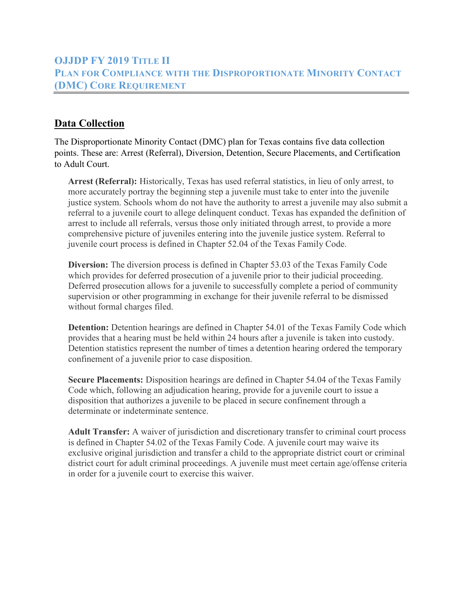# Data Collection

 The Disproportionate Minority Contact (DMC) plan for Texas contains five data collection points. These are: Arrest (Referral), Diversion, Detention, Secure Placements, and Certification to Adult Court.

Arrest (Referral): Historically, Texas has used referral statistics, in lieu of only arrest, to more accurately portray the beginning step a juvenile must take to enter into the juvenile justice system. Schools whom do not have the authority to arrest a juvenile may also submit a referral to a juvenile court to allege delinquent conduct. Texas has expanded the definition of arrest to include all referrals, versus those only initiated through arrest, to provide a more comprehensive picture of juveniles entering into the juvenile justice system. Referral to juvenile court process is defined in Chapter 52.04 of the Texas Family Code.

 Diversion: The diversion process is defined in Chapter 53.03 of the Texas Family Code which provides for deferred prosecution of a juvenile prior to their judicial proceeding. Deferred prosecution allows for a juvenile to successfully complete a period of community supervision or other programming in exchange for their juvenile referral to be dismissed without formal charges filed.

 Detention: Detention hearings are defined in Chapter 54.01 of the Texas Family Code which provides that a hearing must be held within 24 hours after a juvenile is taken into custody. Detention statistics represent the number of times a detention hearing ordered the temporary confinement of a juvenile prior to case disposition.

Secure Placements: Disposition hearings are defined in Chapter 54.04 of the Texas Family Code which, following an adjudication hearing, provide for a juvenile court to issue a disposition that authorizes a juvenile to be placed in secure confinement through a determinate or indeterminate sentence.

Adult Transfer: A waiver of jurisdiction and discretionary transfer to criminal court process is defined in Chapter 54.02 of the Texas Family Code. A juvenile court may waive its exclusive original jurisdiction and transfer a child to the appropriate district court or criminal district court for adult criminal proceedings. A juvenile must meet certain age/offense criteria in order for a juvenile court to exercise this waiver.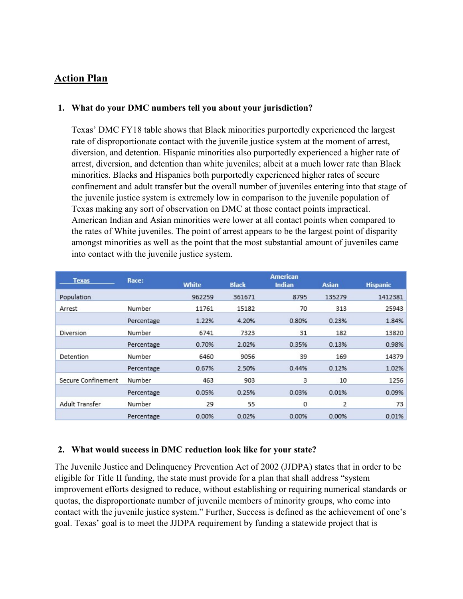# Action Plan

#### 1. What do your DMC numbers tell you about your jurisdiction?

 Texas' DMC FY18 table shows that Black minorities purportedly experienced the largest rate of disproportionate contact with the juvenile justice system at the moment of arrest, diversion, and detention. Hispanic minorities also purportedly experienced a higher rate of arrest, diversion, and detention than white juveniles; albeit at a much lower rate than Black minorities. Blacks and Hispanics both purportedly experienced higher rates of secure confinement and adult transfer but the overall number of juveniles entering into that stage of the juvenile justice system is extremely low in comparison to the juvenile population of Texas making any sort of observation on DMC at those contact points impractical. American Indian and Asian minorities were lower at all contact points when compared to the rates of White juveniles. The point of arrest appears to be the largest point of disparity into contact with the juvenile justice system.

| amongst minorities as well as the point that the most substantial amount of juveniles came<br>into contact with the juvenile justice system. |            |              |              |                                  |              |                 |
|----------------------------------------------------------------------------------------------------------------------------------------------|------------|--------------|--------------|----------------------------------|--------------|-----------------|
| <b>Texas</b>                                                                                                                                 | Race:      | <b>White</b> | <b>Black</b> | <b>American</b><br><b>Indian</b> | <b>Asian</b> | <b>Hispanic</b> |
| Population                                                                                                                                   |            | 962259       | 361671       | 8795                             | 135279       | 1412381         |
| Arrest                                                                                                                                       | Number     | 11761        | 15182        | 70                               | 313          | 25943           |
|                                                                                                                                              | Percentage | 1.22%        | 4.20%        | 0.80%                            | 0.23%        | 1.84%           |
| Diversion                                                                                                                                    | Number     | 6741         | 7323         | 31                               | 182          | 13820           |
|                                                                                                                                              | Percentage | 0.70%        | 2.02%        | 0.35%                            | 0.13%        | 0.98%           |
| Detention                                                                                                                                    | Number     | 6460         | 9056         | 39                               | 169          | 14379           |
|                                                                                                                                              | Percentage | 0.67%        | 2.50%        | 0.44%                            | 0.12%        | 1.02%           |
| Secure Confinement                                                                                                                           | Number     | 463          | 903          | 3                                | 10           | 1256            |
|                                                                                                                                              | Percentage | 0.05%        | 0.25%        | 0.03%                            | 0.01%        | 0.09%           |
| Adult Transfer                                                                                                                               | Number     | 29           | 55           | 0                                | 2            | 73              |
|                                                                                                                                              | Percentage | 0.00%        | 0.02%        | 0.00%                            | 0.00%        | 0.01%           |

#### 2. What would success in DMC reduction look like for your state?

 The Juvenile Justice and Delinquency Prevention Act of 2002 (JJDPA) states that in order to be eligible for Title II funding, the state must provide for a plan that shall address "system improvement efforts designed to reduce, without establishing or requiring numerical standards or quotas, the disproportionate number of juvenile members of minority groups, who come into contact with the juvenile justice system." Further, Success is defined as the achievement of one's goal. Texas' goal is to meet the JJDPA requirement by funding a statewide project that is